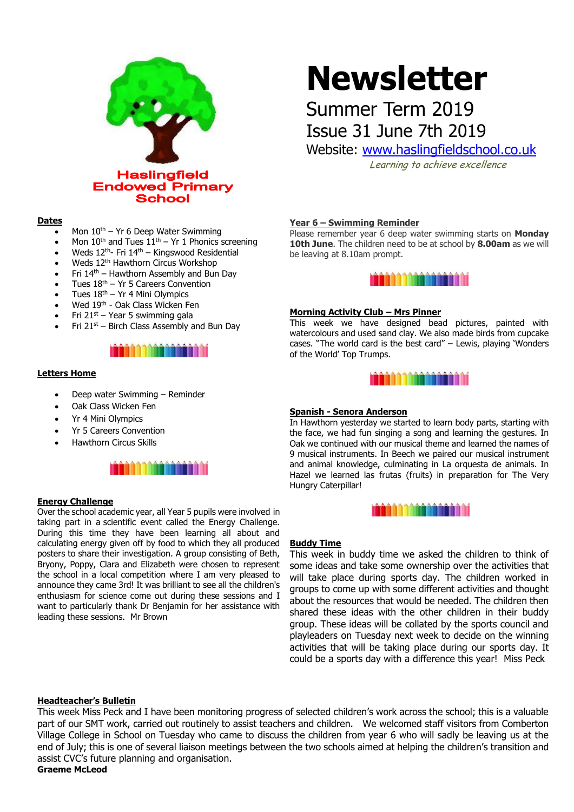

#### **Dates**

- Mon  $10^{th}$  Yr 6 Deep Water Swimming
- Mon  $10^{th}$  and Tues  $11^{th}$  Yr 1 Phonics screening
- Weds 12th- Fri 14th Kingswood Residential
- Weds 12<sup>th</sup> Hawthorn Circus Workshop
- Fri 14th Hawthorn Assembly and Bun Day
- Tues 18th Yr 5 Careers Convention
- Tues  $18<sup>th</sup> Yr$  4 Mini Olympics
- Wed 19th Oak Class Wicken Fen
- Fri  $21^{st}$  Year 5 swimming gala
- Fri 21st Birch Class Assembly and Bun Day



#### **Letters Home**

- Deep water Swimming Reminder
- Oak Class Wicken Fen
- Yr 4 Mini Olympics
- Yr 5 Careers Convention
- Hawthorn Circus Skills



#### **Energy Challenge**

Over the school academic year, all Year 5 pupils were involved in taking part in a scientific event called the Energy Challenge. During this time they have been learning all about and calculating energy given off by food to which they all produced posters to share their investigation. A group consisting of Beth, Bryony, Poppy, Clara and Elizabeth were chosen to represent the school in a local competition where I am very pleased to announce they came 3rd! It was brilliant to see all the children's enthusiasm for science come out during these sessions and I want to particularly thank Dr Benjamin for her assistance with leading these sessions. Mr Brown

# **Newsletter**

## Summer Term 2019 Issue 31 June 7th 2019

Website: [www.haslingfieldschool.co.uk](http://www.haslingfieldschool.co.uk/)

Learning to achieve excellence

#### **Year 6 – Swimming Reminder**

Please remember year 6 deep water swimming starts on **Monday 10th June**. The children need to be at school by **8.00am** as we will be leaving at 8.10am prompt.



#### **Morning Activity Club – Mrs Pinner**

This week we have designed bead pictures, painted with watercolours and used sand clay. We also made birds from cupcake cases. "The world card is the best card" – Lewis, playing 'Wonders of the World' Top Trumps.



#### **Spanish - Senora Anderson**

In Hawthorn yesterday we started to learn body parts, starting with the face, we had fun singing a song and learning the gestures. In Oak we continued with our musical theme and learned the names of 9 musical instruments. In Beech we paired our musical instrument and animal knowledge, culminating in La orquesta de animals. In Hazel we learned las frutas (fruits) in preparation for The Very Hungry Caterpillar!



#### **Buddy Time**

This week in buddy time we asked the children to think of some ideas and take some ownership over the activities that will take place during sports day. The children worked in groups to come up with some different activities and thought about the resources that would be needed. The children then shared these ideas with the other children in their buddy group. These ideas will be collated by the sports council and playleaders on Tuesday next week to decide on the winning activities that will be taking place during our sports day. It could be a sports day with a difference this year! Miss Peck

#### **Headteacher's Bulletin**

This week Miss Peck and I have been monitoring progress of selected children's work across the school; this is a valuable part of our SMT work, carried out routinely to assist teachers and children. We welcomed staff visitors from Comberton Village College in School on Tuesday who came to discuss the children from year 6 who will sadly be leaving us at the end of July; this is one of several liaison meetings between the two schools aimed at helping the children's transition and assist CVC's future planning and organisation.

**Graeme McLeod**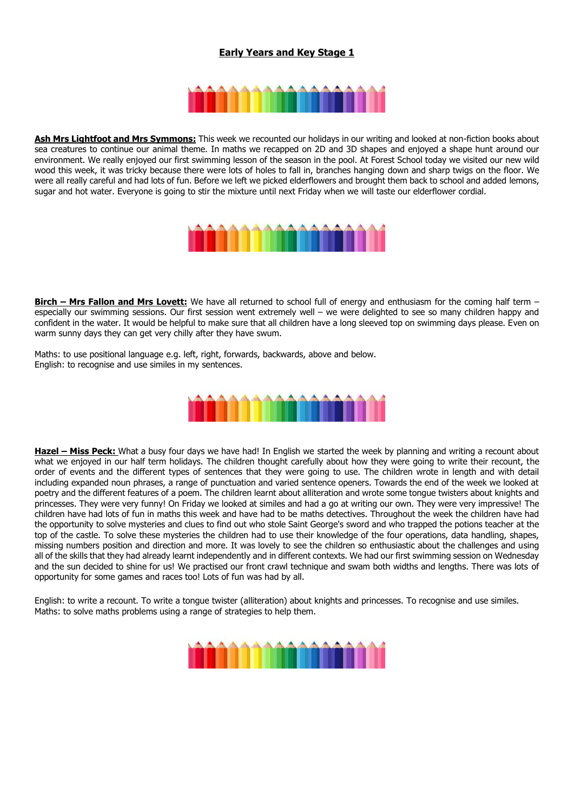### **Early Years and Key Stage 1**



**Ash Mrs Lightfoot and Mrs Symmons:** This week we recounted our holidays in our writing and looked at non-fiction books about sea creatures to continue our animal theme. In maths we recapped on 2D and 3D shapes and enjoyed a shape hunt around our environment. We really enjoyed our first swimming lesson of the season in the pool. At Forest School today we visited our new wild wood this week, it was tricky because there were lots of holes to fall in, branches hanging down and sharp twigs on the floor. We were all really careful and had lots of fun. Before we left we picked elderflowers and brought them back to school and added lemons, sugar and hot water. Everyone is going to stir the mixture until next Friday when we will taste our elderflower cordial.



**Birch – Mrs Fallon and Mrs Lovett:** We have all returned to school full of energy and enthusiasm for the coming half term – especially our swimming sessions. Our first session went extremely well – we were delighted to see so many children happy and confident in the water. It would be helpful to make sure that all children have a long sleeved top on swimming days please. Even on warm sunny days they can get very chilly after they have swum.

Maths: to use positional language e.g. left, right, forwards, backwards, above and below. English: to recognise and use similes in my sentences.



**Hazel – Miss Peck:** What a busy four days we have had! In English we started the week by planning and writing a recount about what we enjoyed in our half term holidays. The children thought carefully about how they were going to write their recount, the order of events and the different types of sentences that they were going to use. The children wrote in length and with detail including expanded noun phrases, a range of punctuation and varied sentence openers. Towards the end of the week we looked at poetry and the different features of a poem. The children learnt about alliteration and wrote some tongue twisters about knights and princesses. They were very funny! On Friday we looked at similes and had a go at writing our own. They were very impressive! The children have had lots of fun in maths this week and have had to be maths detectives. Throughout the week the children have had the opportunity to solve mysteries and clues to find out who stole Saint George's sword and who trapped the potions teacher at the top of the castle. To solve these mysteries the children had to use their knowledge of the four operations, data handling, shapes, missing numbers position and direction and more. It was lovely to see the children so enthusiastic about the challenges and using all of the skills that they had already learnt independently and in different contexts. We had our first swimming session on Wednesday and the sun decided to shine for us! We practised our front crawl technique and swam both widths and lengths. There was lots of opportunity for some games and races too! Lots of fun was had by all.

English: to write a recount. To write a tongue twister (alliteration) about knights and princesses. To recognise and use similes. Maths: to solve maths problems using a range of strategies to help them.